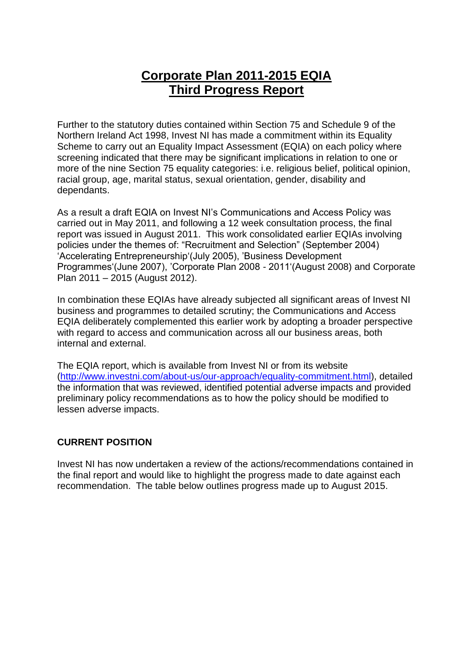# **Corporate Plan 2011-2015 EQIA Third Progress Report**

Further to the statutory duties contained within Section 75 and Schedule 9 of the Northern Ireland Act 1998, Invest NI has made a commitment within its Equality Scheme to carry out an Equality Impact Assessment (EQIA) on each policy where screening indicated that there may be significant implications in relation to one or more of the nine Section 75 equality categories: i.e. religious belief, political opinion, racial group, age, marital status, sexual orientation, gender, disability and dependants.

As a result a draft EQIA on Invest NI's Communications and Access Policy was carried out in May 2011, and following a 12 week consultation process, the final report was issued in August 2011. This work consolidated earlier EQIAs involving policies under the themes of: "Recruitment and Selection" (September 2004) 'Accelerating Entrepreneurship'(July 2005), 'Business Development Programmes'(June 2007), 'Corporate Plan 2008 - 2011'(August 2008) and Corporate Plan 2011 – 2015 (August 2012).

In combination these EQIAs have already subjected all significant areas of Invest NI business and programmes to detailed scrutiny; the Communications and Access EQIA deliberately complemented this earlier work by adopting a broader perspective with regard to access and communication across all our business areas, both internal and external.

The EQIA report, which is available from Invest NI or from its website [\(http://www.investni.com/about-us/our-approach/equality-commitment.html\)](http://www.investni.com/about-us/our-approach/equality-commitment.html), detailed the information that was reviewed, identified potential adverse impacts and provided preliminary policy recommendations as to how the policy should be modified to lessen adverse impacts.

### **CURRENT POSITION**

Invest NI has now undertaken a review of the actions/recommendations contained in the final report and would like to highlight the progress made to date against each recommendation. The table below outlines progress made up to August 2015.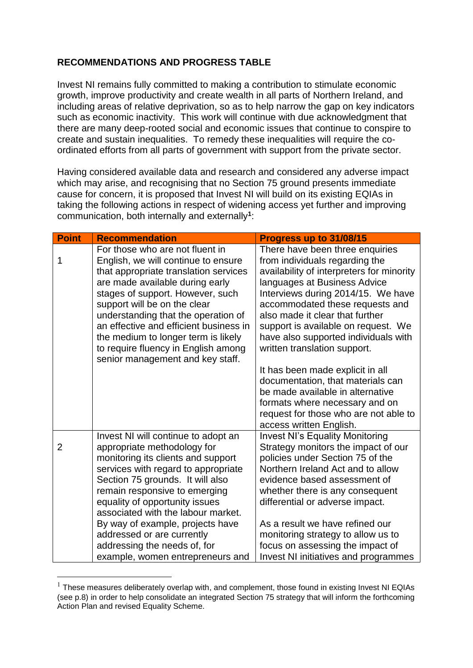## **RECOMMENDATIONS AND PROGRESS TABLE**

Invest NI remains fully committed to making a contribution to stimulate economic growth, improve productivity and create wealth in all parts of Northern Ireland, and including areas of relative deprivation, so as to help narrow the gap on key indicators such as economic inactivity. This work will continue with due acknowledgment that there are many deep-rooted social and economic issues that continue to conspire to create and sustain inequalities. To remedy these inequalities will require the coordinated efforts from all parts of government with support from the private sector.

Having considered available data and research and considered any adverse impact which may arise, and recognising that no Section 75 ground presents immediate cause for concern, it is proposed that Invest NI will build on its existing EQIAs in taking the following actions in respect of widening access yet further and improving communication, both internally and externally**<sup>1</sup>** :

| <b>Point</b> | <b>Recommendation</b>                                                                                                                                                                                                                                                                                                                                                                 | Progress up to 31/08/15                                                                                                                                                                                                                                                                                                                                                   |
|--------------|---------------------------------------------------------------------------------------------------------------------------------------------------------------------------------------------------------------------------------------------------------------------------------------------------------------------------------------------------------------------------------------|---------------------------------------------------------------------------------------------------------------------------------------------------------------------------------------------------------------------------------------------------------------------------------------------------------------------------------------------------------------------------|
| 1            | For those who are not fluent in<br>English, we will continue to ensure<br>that appropriate translation services<br>are made available during early<br>stages of support. However, such<br>support will be on the clear<br>understanding that the operation of<br>an effective and efficient business in<br>the medium to longer term is likely<br>to require fluency in English among | There have been three enquiries<br>from individuals regarding the<br>availability of interpreters for minority<br>languages at Business Advice<br>Interviews during 2014/15. We have<br>accommodated these requests and<br>also made it clear that further<br>support is available on request. We<br>have also supported individuals with<br>written translation support. |
|              | senior management and key staff.                                                                                                                                                                                                                                                                                                                                                      | It has been made explicit in all<br>documentation, that materials can<br>be made available in alternative<br>formats where necessary and on<br>request for those who are not able to<br>access written English.                                                                                                                                                           |
| 2            | Invest NI will continue to adopt an<br>appropriate methodology for<br>monitoring its clients and support<br>services with regard to appropriate<br>Section 75 grounds. It will also<br>remain responsive to emerging<br>equality of opportunity issues<br>associated with the labour market.                                                                                          | <b>Invest NI's Equality Monitoring</b><br>Strategy monitors the impact of our<br>policies under Section 75 of the<br>Northern Ireland Act and to allow<br>evidence based assessment of<br>whether there is any consequent<br>differential or adverse impact.                                                                                                              |
|              | By way of example, projects have<br>addressed or are currently<br>addressing the needs of, for<br>example, women entrepreneurs and                                                                                                                                                                                                                                                    | As a result we have refined our<br>monitoring strategy to allow us to<br>focus on assessing the impact of<br>Invest NI initiatives and programmes                                                                                                                                                                                                                         |

 $<sup>1</sup>$  These measures deliberately overlap with, and complement, those found in existing Invest NI EQIAs</sup> (see p.8) in order to help consolidate an integrated Section 75 strategy that will inform the forthcoming Action Plan and revised Equality Scheme.

<u>.</u>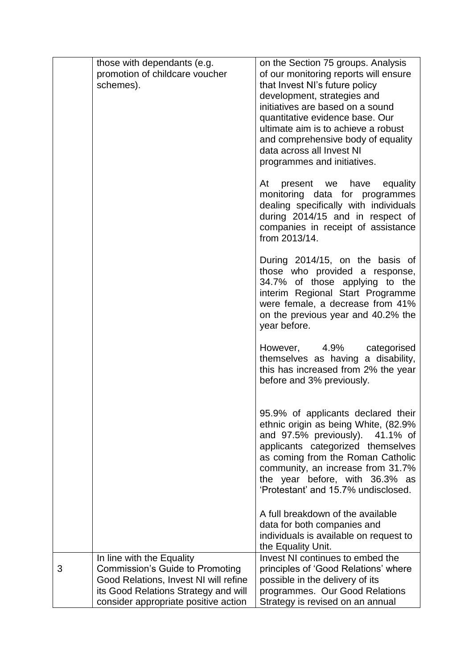|   | those with dependants (e.g.                                                  | on the Section 75 groups. Analysis                                      |
|---|------------------------------------------------------------------------------|-------------------------------------------------------------------------|
|   | promotion of childcare voucher                                               | of our monitoring reports will ensure                                   |
|   | schemes).                                                                    | that Invest NI's future policy                                          |
|   |                                                                              | development, strategies and                                             |
|   |                                                                              | initiatives are based on a sound                                        |
|   |                                                                              | quantitative evidence base. Our                                         |
|   |                                                                              | ultimate aim is to achieve a robust                                     |
|   |                                                                              | and comprehensive body of equality<br>data across all Invest NI         |
|   |                                                                              | programmes and initiatives.                                             |
|   |                                                                              |                                                                         |
|   |                                                                              | At<br>present we have equality                                          |
|   |                                                                              | monitoring data for programmes                                          |
|   |                                                                              | dealing specifically with individuals                                   |
|   |                                                                              | during 2014/15 and in respect of                                        |
|   |                                                                              | companies in receipt of assistance<br>from 2013/14.                     |
|   |                                                                              |                                                                         |
|   |                                                                              | During 2014/15, on the basis of                                         |
|   |                                                                              | those who provided a response,                                          |
|   |                                                                              | 34.7% of those applying to the                                          |
|   |                                                                              | interim Regional Start Programme<br>were female, a decrease from 41%    |
|   |                                                                              | on the previous year and 40.2% the                                      |
|   |                                                                              | year before.                                                            |
|   |                                                                              |                                                                         |
|   |                                                                              | However, 4.9%<br>categorised                                            |
|   |                                                                              | themselves as having a disability,                                      |
|   |                                                                              | this has increased from 2% the year<br>before and 3% previously.        |
|   |                                                                              |                                                                         |
|   |                                                                              |                                                                         |
|   |                                                                              | 95.9% of applicants declared their                                      |
|   |                                                                              | ethnic origin as being White, (82.9%<br>and 97.5% previously). 41.1% of |
|   |                                                                              | applicants categorized themselves                                       |
|   |                                                                              | as coming from the Roman Catholic                                       |
|   |                                                                              | community, an increase from 31.7%                                       |
|   |                                                                              | the year before, with 36.3% as                                          |
|   |                                                                              | 'Protestant' and 15.7% undisclosed.                                     |
|   |                                                                              | A full breakdown of the available                                       |
|   |                                                                              | data for both companies and                                             |
|   |                                                                              | individuals is available on request to                                  |
|   |                                                                              | the Equality Unit.                                                      |
|   | In line with the Equality                                                    | Invest NI continues to embed the                                        |
| 3 | <b>Commission's Guide to Promoting</b>                                       | principles of 'Good Relations' where                                    |
|   | Good Relations, Invest NI will refine                                        | possible in the delivery of its                                         |
|   | its Good Relations Strategy and will<br>consider appropriate positive action | programmes. Our Good Relations<br>Strategy is revised on an annual      |
|   |                                                                              |                                                                         |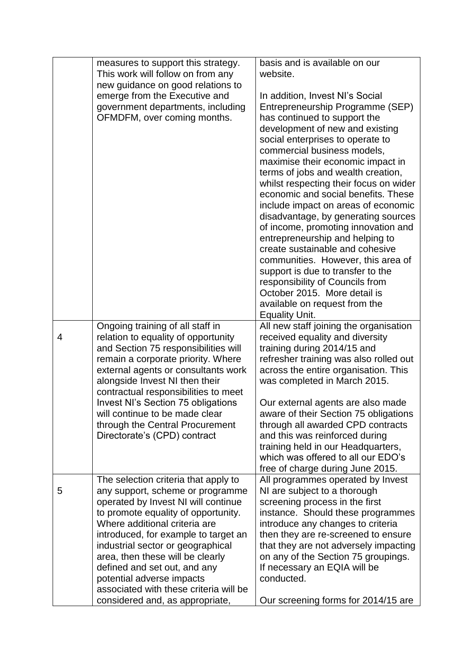|   | measures to support this strategy.<br>This work will follow on from any<br>new guidance on good relations to<br>emerge from the Executive and<br>government departments, including<br>OFMDFM, over coming months.                                                                                                                                                                                                                                  | basis and is available on our<br>website.<br>In addition, Invest NI's Social<br>Entrepreneurship Programme (SEP)<br>has continued to support the<br>development of new and existing<br>social enterprises to operate to<br>commercial business models,<br>maximise their economic impact in<br>terms of jobs and wealth creation,<br>whilst respecting their focus on wider<br>economic and social benefits. These<br>include impact on areas of economic<br>disadvantage, by generating sources<br>of income, promoting innovation and<br>entrepreneurship and helping to<br>create sustainable and cohesive<br>communities. However, this area of<br>support is due to transfer to the<br>responsibility of Councils from<br>October 2015. More detail is<br>available on request from the<br><b>Equality Unit.</b> |
|---|----------------------------------------------------------------------------------------------------------------------------------------------------------------------------------------------------------------------------------------------------------------------------------------------------------------------------------------------------------------------------------------------------------------------------------------------------|-----------------------------------------------------------------------------------------------------------------------------------------------------------------------------------------------------------------------------------------------------------------------------------------------------------------------------------------------------------------------------------------------------------------------------------------------------------------------------------------------------------------------------------------------------------------------------------------------------------------------------------------------------------------------------------------------------------------------------------------------------------------------------------------------------------------------|
| 4 | Ongoing training of all staff in<br>relation to equality of opportunity<br>and Section 75 responsibilities will<br>remain a corporate priority. Where<br>external agents or consultants work<br>alongside Invest NI then their<br>contractual responsibilities to meet<br><b>Invest NI's Section 75 obligations</b><br>will continue to be made clear<br>through the Central Procurement<br>Directorate's (CPD) contract                           | All new staff joining the organisation<br>received equality and diversity<br>training during 2014/15 and<br>refresher training was also rolled out<br>across the entire organisation. This<br>was completed in March 2015.<br>Our external agents are also made<br>aware of their Section 75 obligations<br>through all awarded CPD contracts<br>and this was reinforced during<br>training held in our Headquarters,<br>which was offered to all our EDO's<br>free of charge during June 2015.                                                                                                                                                                                                                                                                                                                       |
| 5 | The selection criteria that apply to<br>any support, scheme or programme<br>operated by Invest NI will continue<br>to promote equality of opportunity.<br>Where additional criteria are<br>introduced, for example to target an<br>industrial sector or geographical<br>area, then these will be clearly<br>defined and set out, and any<br>potential adverse impacts<br>associated with these criteria will be<br>considered and, as appropriate, | All programmes operated by Invest<br>NI are subject to a thorough<br>screening process in the first<br>instance. Should these programmes<br>introduce any changes to criteria<br>then they are re-screened to ensure<br>that they are not adversely impacting<br>on any of the Section 75 groupings.<br>If necessary an EQIA will be<br>conducted.<br>Our screening forms for 2014/15 are                                                                                                                                                                                                                                                                                                                                                                                                                             |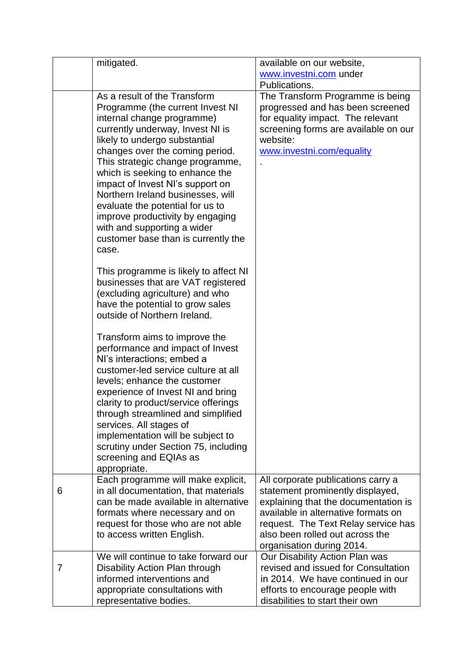|   | mitigated.                                                        | available on our website,            |
|---|-------------------------------------------------------------------|--------------------------------------|
|   |                                                                   | www.investni.com under               |
|   |                                                                   | Publications.                        |
|   | As a result of the Transform                                      | The Transform Programme is being     |
|   | Programme (the current Invest NI                                  | progressed and has been screened     |
|   | internal change programme)                                        | for equality impact. The relevant    |
|   | currently underway, Invest NI is                                  | screening forms are available on our |
|   | likely to undergo substantial                                     | website:                             |
|   | changes over the coming period.                                   | www.investni.com/equality            |
|   | This strategic change programme,                                  |                                      |
|   | which is seeking to enhance the                                   |                                      |
|   | impact of Invest NI's support on                                  |                                      |
|   | Northern Ireland businesses, will                                 |                                      |
|   | evaluate the potential for us to                                  |                                      |
|   | improve productivity by engaging                                  |                                      |
|   | with and supporting a wider                                       |                                      |
|   | customer base than is currently the                               |                                      |
|   | case.                                                             |                                      |
|   |                                                                   |                                      |
|   | This programme is likely to affect NI                             |                                      |
|   | businesses that are VAT registered                                |                                      |
|   | (excluding agriculture) and who                                   |                                      |
|   | have the potential to grow sales                                  |                                      |
|   | outside of Northern Ireland.                                      |                                      |
|   |                                                                   |                                      |
|   | Transform aims to improve the                                     |                                      |
|   | performance and impact of Invest                                  |                                      |
|   | NI's interactions; embed a<br>customer-led service culture at all |                                      |
|   |                                                                   |                                      |
|   | levels; enhance the customer<br>experience of Invest NI and bring |                                      |
|   | clarity to product/service offerings                              |                                      |
|   | through streamlined and simplified                                |                                      |
|   | services. All stages of                                           |                                      |
|   | implementation will be subject to                                 |                                      |
|   | scrutiny under Section 75, including                              |                                      |
|   | screening and EQIAs as                                            |                                      |
|   | appropriate.                                                      |                                      |
|   | Each programme will make explicit,                                | All corporate publications carry a   |
| 6 | in all documentation, that materials                              | statement prominently displayed,     |
|   | can be made available in alternative                              | explaining that the documentation is |
|   | formats where necessary and on                                    | available in alternative formats on  |
|   | request for those who are not able                                | request. The Text Relay service has  |
|   | to access written English.                                        | also been rolled out across the      |
|   |                                                                   | organisation during 2014.            |
|   | We will continue to take forward our                              | Our Disability Action Plan was       |
| 7 | Disability Action Plan through                                    | revised and issued for Consultation  |
|   | informed interventions and                                        | in 2014. We have continued in our    |
|   | appropriate consultations with                                    | efforts to encourage people with     |
|   | representative bodies.                                            | disabilities to start their own      |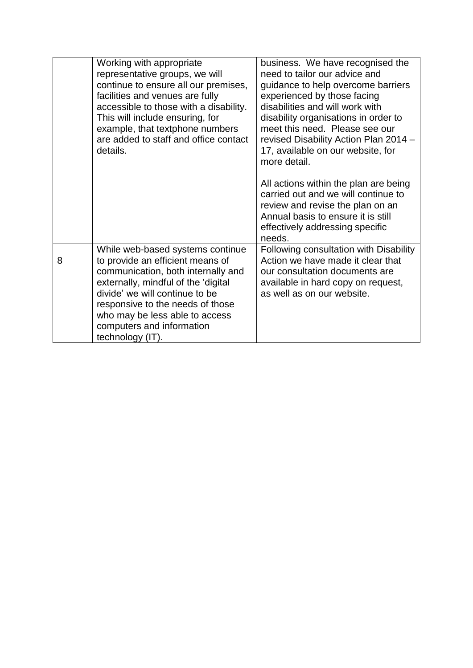|   | Working with appropriate<br>representative groups, we will<br>continue to ensure all our premises,<br>facilities and venues are fully<br>accessible to those with a disability.<br>This will include ensuring, for<br>example, that textphone numbers<br>are added to staff and office contact<br>details. | business. We have recognised the<br>need to tailor our advice and<br>guidance to help overcome barriers<br>experienced by those facing<br>disabilities and will work with<br>disability organisations in order to<br>meet this need. Please see our<br>revised Disability Action Plan 2014 -<br>17, available on our website, for<br>more detail. |
|---|------------------------------------------------------------------------------------------------------------------------------------------------------------------------------------------------------------------------------------------------------------------------------------------------------------|---------------------------------------------------------------------------------------------------------------------------------------------------------------------------------------------------------------------------------------------------------------------------------------------------------------------------------------------------|
|   |                                                                                                                                                                                                                                                                                                            | All actions within the plan are being<br>carried out and we will continue to<br>review and revise the plan on an<br>Annual basis to ensure it is still<br>effectively addressing specific<br>needs.                                                                                                                                               |
| 8 | While web-based systems continue<br>to provide an efficient means of<br>communication, both internally and<br>externally, mindful of the 'digital<br>divide' we will continue to be<br>responsive to the needs of those<br>who may be less able to access<br>computers and information<br>technology (IT). | Following consultation with Disability<br>Action we have made it clear that<br>our consultation documents are<br>available in hard copy on request,<br>as well as on our website.                                                                                                                                                                 |